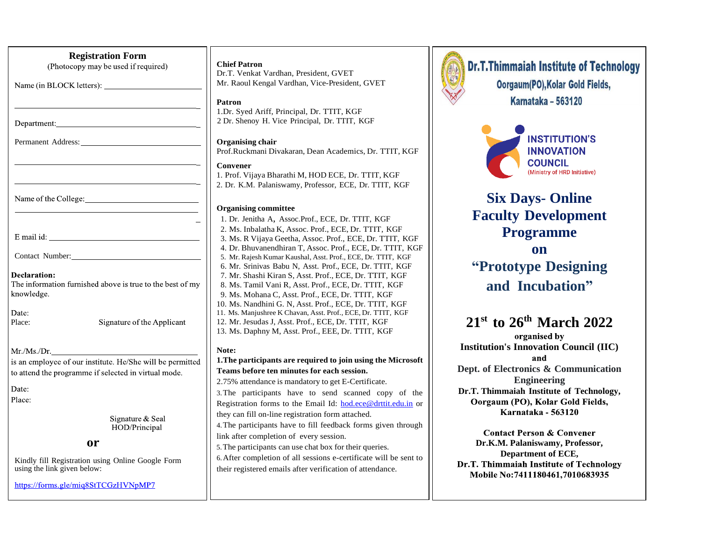| <b>Registration Form</b>                                                                                          |  |  |
|-------------------------------------------------------------------------------------------------------------------|--|--|
| (Photocopy may be used if required)                                                                               |  |  |
| Name (in BLOCK letters):                                                                                          |  |  |
|                                                                                                                   |  |  |
|                                                                                                                   |  |  |
| Permanent Address:                                                                                                |  |  |
|                                                                                                                   |  |  |
|                                                                                                                   |  |  |
| Name of the College:                                                                                              |  |  |
|                                                                                                                   |  |  |
|                                                                                                                   |  |  |
| Contact Number:                                                                                                   |  |  |
| Declaration:<br>The information furnished above is true to the best of my<br>knowledge.                           |  |  |
| Date:<br>Place:<br>Signature of the Applicant                                                                     |  |  |
| Mr./Ms./Dr.                                                                                                       |  |  |
| is an employee of our institute. He/She will be permitted<br>to attend the programme if selected in virtual mode. |  |  |
| Date:                                                                                                             |  |  |
| Place:                                                                                                            |  |  |
| Signature & Seal<br>HOD/Principal                                                                                 |  |  |
| or                                                                                                                |  |  |
| Kindly fill Registration using Online Google Form<br>using the link given below:                                  |  |  |
| https://forms.gle/miq8StTCGzHVNpMP7                                                                               |  |  |
|                                                                                                                   |  |  |

### **Chief Patron**

Dr.T. Venkat Vardhan, President, GVET Mr. Raoul Kengal Vardhan, Vice-President, GVET

### **Patron**

1.Dr. Syed Ariff, Principal, Dr. TTIT, KGF 2 Dr. Shenoy H. Vice Principal, Dr. TTIT, KGF

### **Organising chair**

Prof.Ruckmani Divakaran, Dean Academics, Dr. TTIT, KGF

### **Convener**

1. Prof. Vijaya Bharathi M, HOD ECE, Dr. TTIT, KGF 2. Dr. K.M. Palaniswamy, Professor, ECE, Dr. TTIT, KGF

### **Organising committee**

1. Dr. Jenitha A, Assoc.Prof., ECE, Dr. TTIT, KGF 2. Ms. Inbalatha K, Assoc. Prof., ECE, Dr. TTIT, KGF 3. Ms. R Vijaya Geetha, Assoc. Prof., ECE, Dr. TTIT, KGF 4. Dr. Bhuvanendhiran T, Assoc. Prof., ECE, Dr. TTIT, KGF 5. Mr. Rajesh Kumar Kaushal, Asst. Prof., ECE, Dr. TTIT, KGF 6. Mr. Srinivas Babu N, Asst. Prof., ECE, Dr. TTIT, KGF 7. Mr. Shashi Kiran S, Asst. Prof., ECE, Dr. TTIT, KGF 8. Ms. Tamil Vani R, Asst. Prof., ECE, Dr. TTIT, KGF 9. Ms. Mohana C, Asst. Prof., ECE, Dr. TTIT, KGF 10. Ms. Nandhini G. N, Asst. Prof., ECE, Dr. TTIT, KGF 11. Ms. Manjushree K Chavan, Asst. Prof., ECE, Dr. TTIT, KGF 12. Mr. Jesudas J, Asst. Prof., ECE, Dr. TTIT, KGF 13. Ms. Daphny M, Asst. Prof., EEE, Dr. TTIT, KGF

### **Note:**

### **1.The participants are required to join using the Microsoft Teams before ten minutes for each session.**

2.75% attendance is mandatory to get E-Certificate.

3.The participants have to send scanned copy of the Registration forms to the Email Id: [hod.ece@drttit.edu.in](mailto:hod.ece@drttit.edu.in) or they can fill on-line registration form attached.

4.The participants have to fill feedback forms given through link after completion of every session.

5.The participants can use chat box for their queries. 6.After completion of all sessions e-certificate will be sent to their registered emails after verification of attendance.



**Dr.T.Thimmaiah Institute of Technology** Oorgaum(PO), Kolar Gold Fields, **Karnataka - 563120** 



# **Six Days- Online Faculty Development Programme on**

**"Prototype Designing and Incubation"**

## **21st to 26th March 2022**

organised by **Institution's Innovation Council (IIC)** and **Dept. of Electronics & Communication Engineering Dr.T. Thimmaiah Institute of Technology,** Oorgaum (PO), Kolar Gold Fields, Karnataka - 563120

**Contact Person & Convener Dr.K.M. Palaniswamy, Professor, Department of ECE,**Dr.T. Thimmaiah Institute of Technology Mobile No:7411180461,7010683935